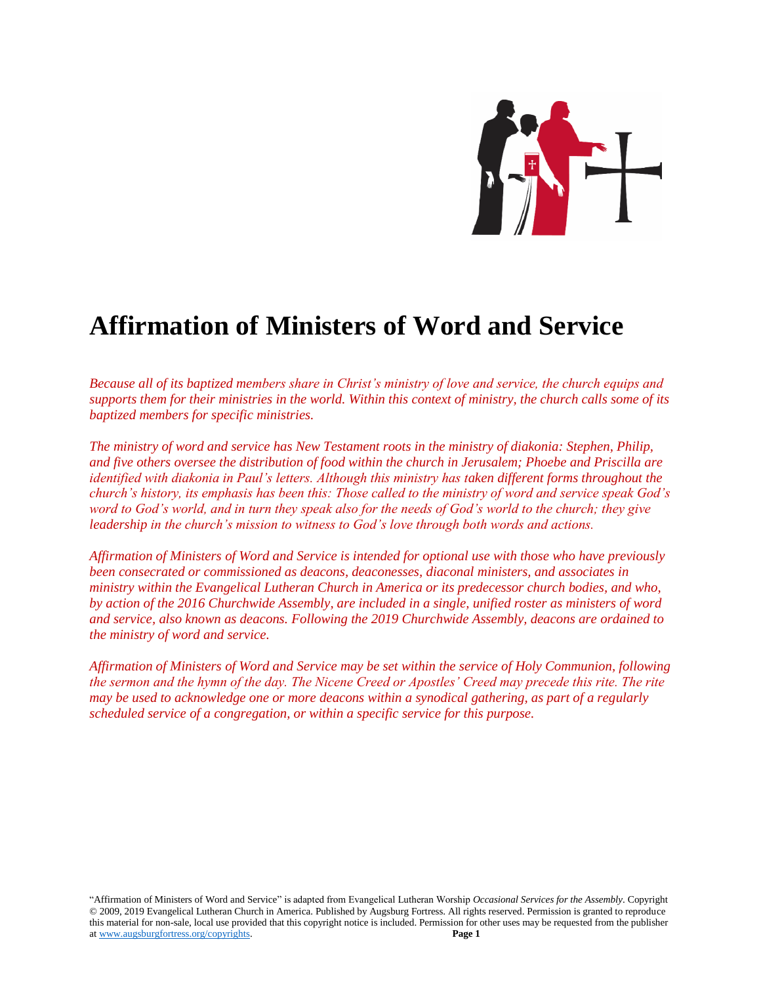

# **Affirmation of Ministers of Word and Service**

*Because all of its baptized members share in Christ's ministry of love and service, the church equips and supports them for their ministries in the world. Within this context of ministry, the church calls some of its baptized members for specific ministries.* 

*The ministry of word and service has New Testament roots in the ministry of diakonia: Stephen, Philip, and five others oversee the distribution of food within the church in Jerusalem; Phoebe and Priscilla are identified with diakonia in Paul's letters. Although this ministry has taken different forms throughout the church's history, its emphasis has been this: Those called to the ministry of word and service speak God's word to God's world, and in turn they speak also for the needs of God's world to the church; they give leadership in the church's mission to witness to God's love through both words and actions.*

*Affirmation of Ministers of Word and Service is intended for optional use with those who have previously been consecrated or commissioned as deacons, deaconesses, diaconal ministers, and associates in ministry within the Evangelical Lutheran Church in America or its predecessor church bodies, and who, by action of the 2016 Churchwide Assembly, are included in a single, unified roster as ministers of word and service, also known as deacons. Following the 2019 Churchwide Assembly, deacons are ordained to the ministry of word and service.*

*Affirmation of Ministers of Word and Service may be set within the service of Holy Communion, following the sermon and the hymn of the day. The Nicene Creed or Apostles' Creed may precede this rite. The rite may be used to acknowledge one or more deacons within a synodical gathering, as part of a regularly scheduled service of a congregation, or within a specific service for this purpose.* 

"Affirmation of Ministers of Word and Service" is adapted from Evangelical Lutheran Worship *Occasional Services for the Assembly*. Copyright © 2009, 2019 Evangelical Lutheran Church in America. Published by Augsburg Fortress. All rights reserved. Permission is granted to reproduce this material for non-sale, local use provided that this copyright notice is included. Permission for other uses may be requested from the publisher at [www.augsburgfortress.org/copyrights.](http://www.augsburgfortress.org/copyrights) **Page 1**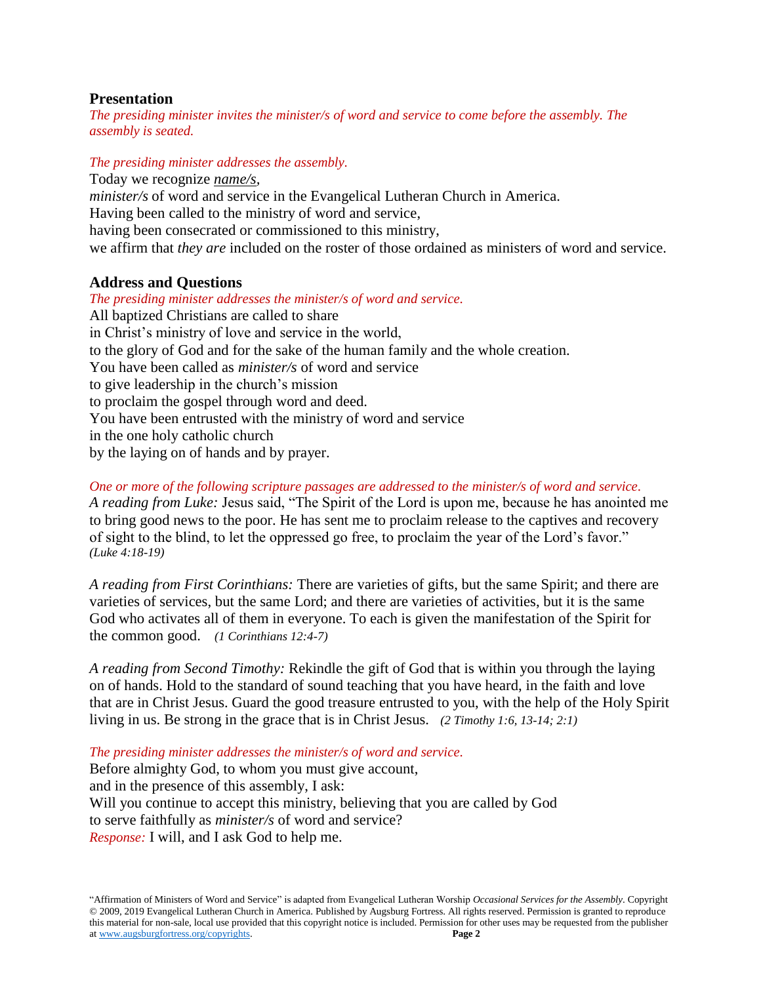## **Presentation**

*The presiding minister invites the minister/s of word and service to come before the assembly. The assembly is seated.* 

*The presiding minister addresses the assembly.*

Today we recognize *name/s, minister/s* of word and service in the Evangelical Lutheran Church in America. Having been called to the ministry of word and service, having been consecrated or commissioned to this ministry, we affirm that *they are* included on the roster of those ordained as ministers of word and service.

## **Address and Questions**

*The presiding minister addresses the minister/s of word and service.* All baptized Christians are called to share in Christ's ministry of love and service in the world, to the glory of God and for the sake of the human family and the whole creation. You have been called as *minister/s* of word and service to give leadership in the church's mission to proclaim the gospel through word and deed. You have been entrusted with the ministry of word and service in the one holy catholic church by the laying on of hands and by prayer.

*One or more of the following scripture passages are addressed to the minister/s of word and service. A reading from Luke:* Jesus said, "The Spirit of the Lord is upon me, because he has anointed me to bring good news to the poor. He has sent me to proclaim release to the captives and recovery of sight to the blind, to let the oppressed go free, to proclaim the year of the Lord's favor." *(Luke 4:18-19)*

*A reading from First Corinthians:* There are varieties of gifts, but the same Spirit; and there are varieties of services, but the same Lord; and there are varieties of activities, but it is the same God who activates all of them in everyone. To each is given the manifestation of the Spirit for the common good. *(1 Corinthians 12:4-7)*

*A reading from Second Timothy:* Rekindle the gift of God that is within you through the laying on of hands. Hold to the standard of sound teaching that you have heard, in the faith and love that are in Christ Jesus. Guard the good treasure entrusted to you, with the help of the Holy Spirit living in us. Be strong in the grace that is in Christ Jesus. *(2 Timothy 1:6, 13-14; 2:1)*

*The presiding minister addresses the minister/s of word and service.*

Before almighty God, to whom you must give account, and in the presence of this assembly, I ask: Will you continue to accept this ministry, believing that you are called by God to serve faithfully as *minister/s* of word and service? *Response:* I will, and I ask God to help me.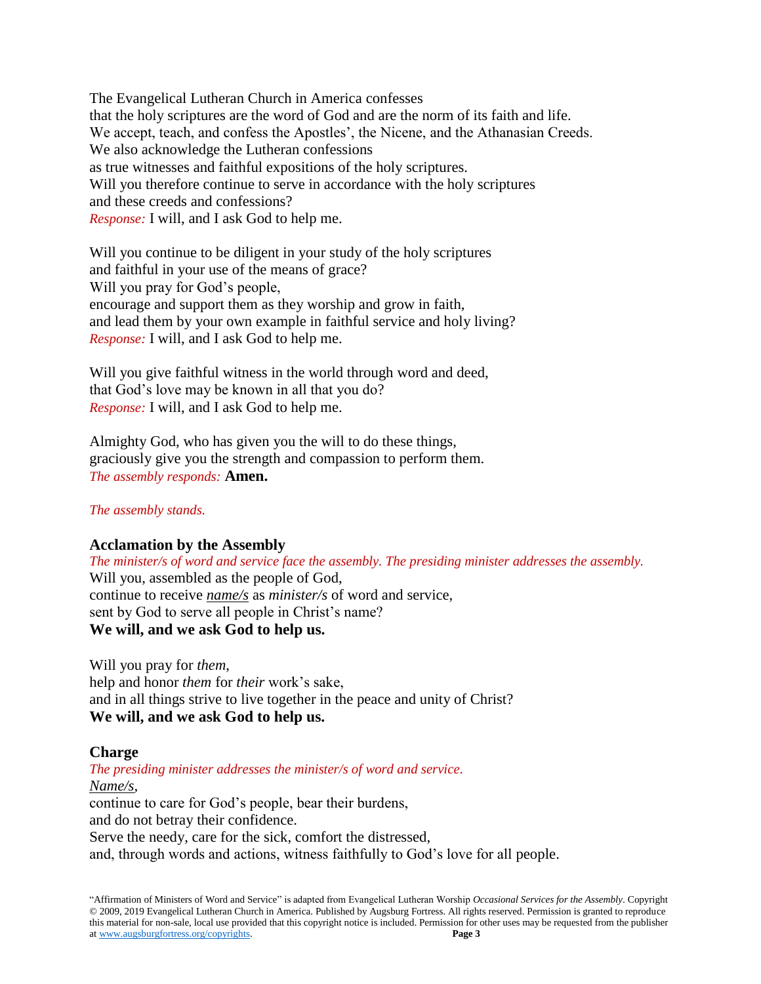The Evangelical Lutheran Church in America confesses that the holy scriptures are the word of God and are the norm of its faith and life. We accept, teach, and confess the Apostles', the Nicene, and the Athanasian Creeds. We also acknowledge the Lutheran confessions as true witnesses and faithful expositions of the holy scriptures. Will you therefore continue to serve in accordance with the holy scriptures and these creeds and confessions? *Response:* I will, and I ask God to help me.

Will you continue to be diligent in your study of the holy scriptures and faithful in your use of the means of grace? Will you pray for God's people, encourage and support them as they worship and grow in faith, and lead them by your own example in faithful service and holy living? *Response:* I will, and I ask God to help me.

Will you give faithful witness in the world through word and deed, that God's love may be known in all that you do? *Response:* I will, and I ask God to help me.

Almighty God, who has given you the will to do these things, graciously give you the strength and compassion to perform them. *The assembly responds:* **Amen.**

*The assembly stands.*

# **Acclamation by the Assembly**

*The minister/s of word and service face the assembly. The presiding minister addresses the assembly.* Will you, assembled as the people of God, continue to receive *name/s* as *minister/s* of word and service, sent by God to serve all people in Christ's name? **We will, and we ask God to help us.**

Will you pray for *them*, help and honor *them* for *their* work's sake, and in all things strive to live together in the peace and unity of Christ? **We will, and we ask God to help us.**

### **Charge**

*The presiding minister addresses the minister/s of word and service.*

*Name/s,*

continue to care for God's people, bear their burdens, and do not betray their confidence. Serve the needy, care for the sick, comfort the distressed,

and, through words and actions, witness faithfully to God's love for all people.

"Affirmation of Ministers of Word and Service" is adapted from Evangelical Lutheran Worship *Occasional Services for the Assembly*. Copyright © 2009, 2019 Evangelical Lutheran Church in America. Published by Augsburg Fortress. All rights reserved. Permission is granted to reproduce this material for non-sale, local use provided that this copyright notice is included. Permission for other uses may be requested from the publisher at [www.augsburgfortress.org/copyrights.](http://www.augsburgfortress.org/copyrights) **Page 3**